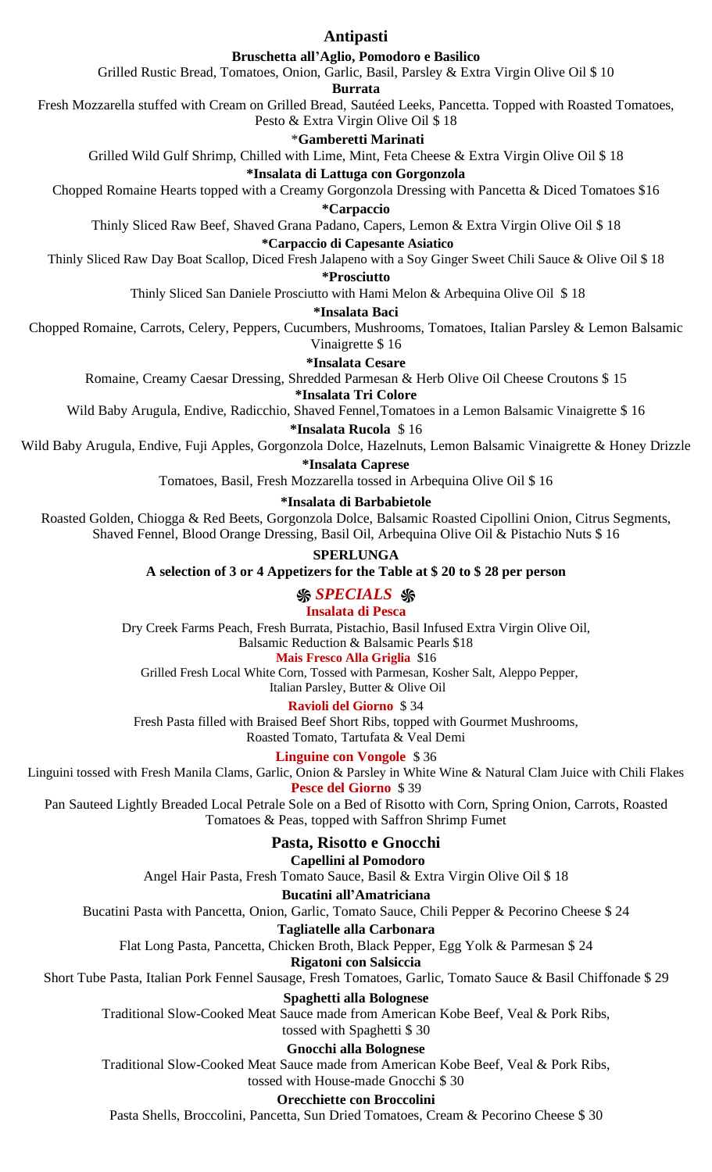### **Antipasti**

### **Bruschetta all'Aglio, Pomodoro e Basilico**

Grilled Rustic Bread, Tomatoes, Onion, Garlic, Basil, Parsley & Extra Virgin Olive Oil \$ 10

**Burrata**

Fresh Mozzarella stuffed with Cream on Grilled Bread, Sautéed Leeks, Pancetta. Topped with Roasted Tomatoes,

# Pesto & Extra Virgin Olive Oil \$ 18

\***Gamberetti Marinati** Grilled Wild Gulf Shrimp, Chilled with Lime, Mint, Feta Cheese & Extra Virgin Olive Oil \$ 18

# **\*Insalata di Lattuga con Gorgonzola**

Chopped Romaine Hearts topped with a Creamy Gorgonzola Dressing with Pancetta & Diced Tomatoes \$16

**\*Carpaccio**

Thinly Sliced Raw Beef, Shaved Grana Padano, Capers, Lemon & Extra Virgin Olive Oil \$ 18

#### **\*Carpaccio di Capesante Asiatico**

Thinly Sliced Raw Day Boat Scallop, Diced Fresh Jalapeno with a Soy Ginger Sweet Chili Sauce & Olive Oil \$ 18

**\*Prosciutto**

Thinly Sliced San Daniele Prosciutto with Hami Melon & Arbequina Olive Oil \$ 18

#### **\*Insalata Baci**

Chopped Romaine, Carrots, Celery, Peppers, Cucumbers, Mushrooms, Tomatoes, Italian Parsley & Lemon Balsamic Vinaigrette \$ 16

#### **\*Insalata Cesare**

Romaine, Creamy Caesar Dressing, Shredded Parmesan & Herb Olive Oil Cheese Croutons \$ 15

**\*Insalata Tri Colore**

Wild Baby Arugula, Endive, Radicchio, Shaved Fennel,Tomatoes in a Lemon Balsamic Vinaigrette \$ 16

**\*Insalata Rucola** \$ 16

Wild Baby Arugula, Endive, Fuji Apples, Gorgonzola Dolce, Hazelnuts, Lemon Balsamic Vinaigrette & Honey Drizzle

**\*Insalata Caprese**

Tomatoes, Basil, Fresh Mozzarella tossed in Arbequina Olive Oil \$ 16

#### **\*Insalata di Barbabietole**

Roasted Golden, Chiogga & Red Beets, Gorgonzola Dolce, Balsamic Roasted Cipollini Onion, Citrus Segments, Shaved Fennel, Blood Orange Dressing, Basil Oil, Arbequina Olive Oil & Pistachio Nuts \$ 16

**SPERLUNGA**

**A selection of 3 or 4 Appetizers for the Table at \$ 20 to \$ 28 per person**

## *֍ SPECIALS ֍*

### **Insalata di Pesca**

Dry Creek Farms Peach, Fresh Burrata, Pistachio, Basil Infused Extra Virgin Olive Oil,

Balsamic Reduction & Balsamic Pearls \$18

### **Mais Fresco Alla Griglia** \$16

Grilled Fresh Local White Corn, Tossed with Parmesan, Kosher Salt, Aleppo Pepper,

Italian Parsley, Butter & Olive Oil

### **Ravioli del Giorno** \$ 34

Fresh Pasta filled with Braised Beef Short Ribs, topped with Gourmet Mushrooms, Roasted Tomato, Tartufata & Veal Demi

**Linguine con Vongole** \$ 36

Linguini tossed with Fresh Manila Clams, Garlic, Onion & Parsley in White Wine & Natural Clam Juice with Chili Flakes **Pesce del Giorno** \$ 39

Pan Sauteed Lightly Breaded Local Petrale Sole on a Bed of Risotto with Corn, Spring Onion, Carrots, Roasted Tomatoes & Peas, topped with Saffron Shrimp Fumet

## **Pasta, Risotto e Gnocchi**

## **Capellini al Pomodoro**

Angel Hair Pasta, Fresh Tomato Sauce, Basil & Extra Virgin Olive Oil \$ 18

### **Bucatini all'Amatriciana**

Bucatini Pasta with Pancetta, Onion, Garlic, Tomato Sauce, Chili Pepper & Pecorino Cheese \$ 24

#### **Tagliatelle alla Carbonara**

Flat Long Pasta, Pancetta, Chicken Broth, Black Pepper, Egg Yolk & Parmesan \$ 24

**Rigatoni con Salsiccia**

### Short Tube Pasta, Italian Pork Fennel Sausage, Fresh Tomatoes, Garlic, Tomato Sauce & Basil Chiffonade \$ 29

### **Spaghetti alla Bolognese**

Traditional Slow-Cooked Meat Sauce made from American Kobe Beef, Veal & Pork Ribs,

#### tossed with Spaghetti \$ 30

### **Gnocchi alla Bolognese**

Traditional Slow-Cooked Meat Sauce made from American Kobe Beef, Veal & Pork Ribs, tossed with House-made Gnocchi \$ 30

#### **Orecchiette con Broccolini**

Pasta Shells, Broccolini, Pancetta, Sun Dried Tomatoes, Cream & Pecorino Cheese \$ 30